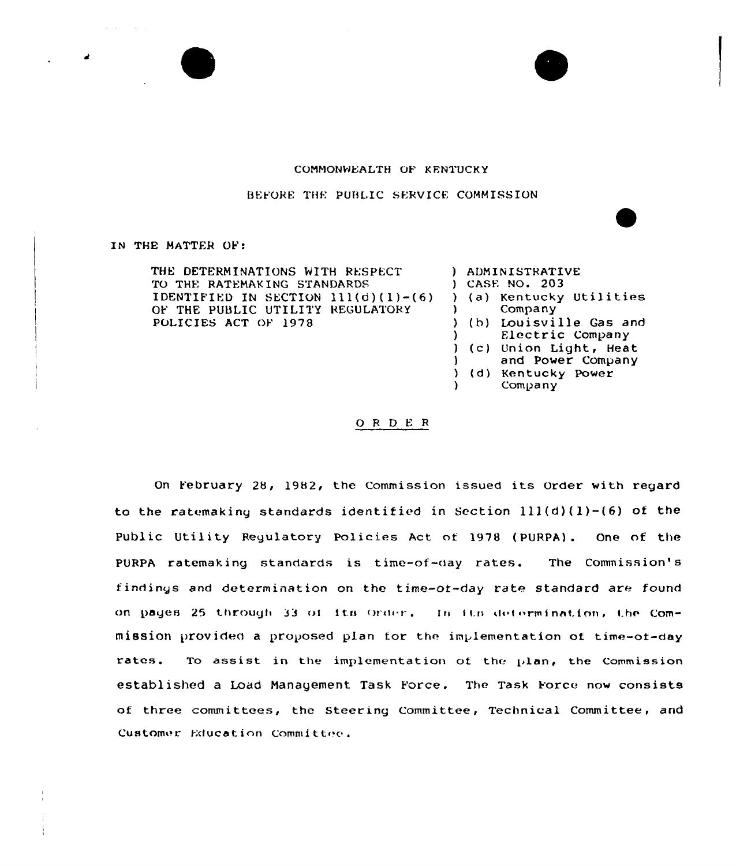## COMMONWEALTH OF KENTUCKY

BEFORE THE PUBLIC SERVICE COMMISSION

## IN THE MATTER OF:

and the state of the state of

THE DETERMINATIONS WITH RESPECT TO THE RATEMAKING STANDARDS IDENTIFIED IN SECTION  $111(d)(1)-(6)$ OF THE PUBLIC UTILITY REGULATORY POLICIES ACT OF 1978 ) ADMINISTRATIVE ) CASE NO. 203 ) (a) Kentucky Utilities<br>) Company Company<sup>7</sup> ) (b) Louisville Gas and ) Electric Company ) (c) Union Light, Heat ) and Power Company ) (d) Kentucky Power } Company

0 <sup>R</sup> <sup>D</sup> <sup>E</sup> <sup>R</sup>

On February 28, 1982, the Commission issued its order with regard to the ratemaking standards identified in Section  $111(d)(1)-(6)$  of the Public Utility Regulatory policies Act of <sup>1978</sup> (PURPA) . One of the PURPA ratemaking standards is time-of-day rates. The Commission's f indings and determination on the time-ot-day rate standard are found on pages 25 through 33 of its order, in its defermination, the Commission provided a proposed plan for the implementation of time-of-day rates. To assist in the implementation of the  $p$ lan, the Commission established a Load Management Task Force. The Task Force now consists of three committees, the Steering Committee, Technical Committee, and Customer Education Committee.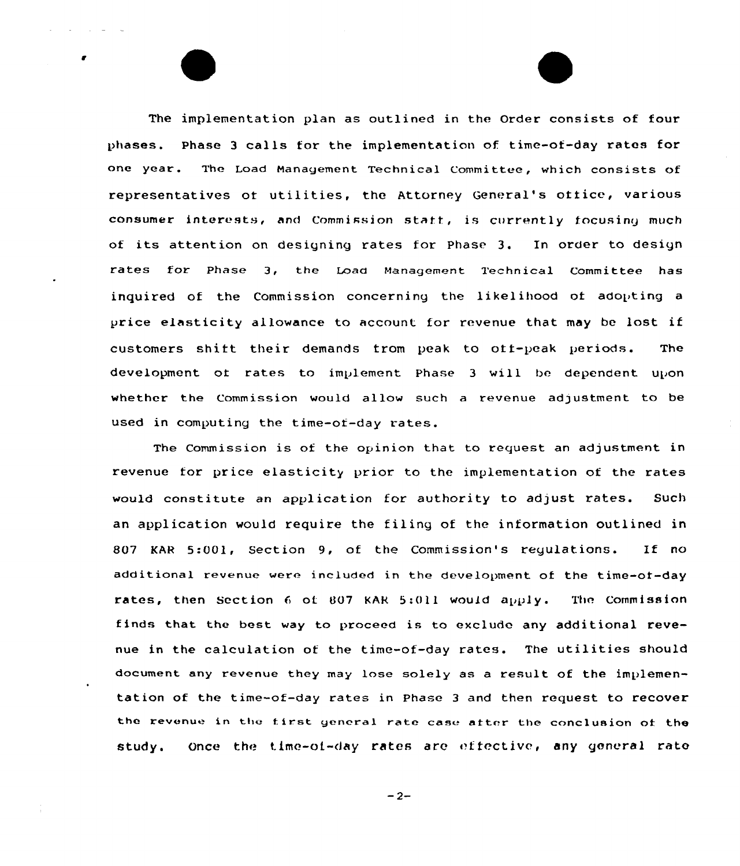The implementation plan as outlined in the Order consists of four phases. Phase <sup>3</sup> calls for the implementation of time-of-day rates for one year. The Load Management Technical Committee, which consists of representatives of utilities, the Attorney General's office, various consumer interests, and Commission staff, is currently focusing much of its attention on designing rates for Phase 3. In order to design rates for phase 3, the Load Management Technical committee has inquired of the Commission concerning the likelihood of adopting a price elasticity allowance to account for revenue that may be lost if customers shift their demands trom peak to off-peak periods. The development of rates to implement Phase 3 will be dependent upon whether the Commission would allow such a revenue adjustment to be used in computing the time-of-day rates.

The Commission is of the opinion that to request an adjustment in revenue for price elasticity prior to the implementation of the rates would constitute an application for authority to adjust rates. Such an application would require the filing of the information outlined in 807 KAR 5:001, Section 9, of the Commission's regulations. If no additiona1 revenue were included in the development of the time-of-day rates, then Section  $6$  of 807 KAR 5:011 would apply. The Commission finds that the best way to proceed is to exclude any additional revenue in the calculation of the time-of-day rates. The utilities should document any revenue they may lose solely as a result of the implementation of the time-of-day rates in Phase <sup>3</sup> and then request to recover the revenue in the first general rate case after the conclusion of the study. Once the time-of-day rates are effective, any general rate

 $-2-$